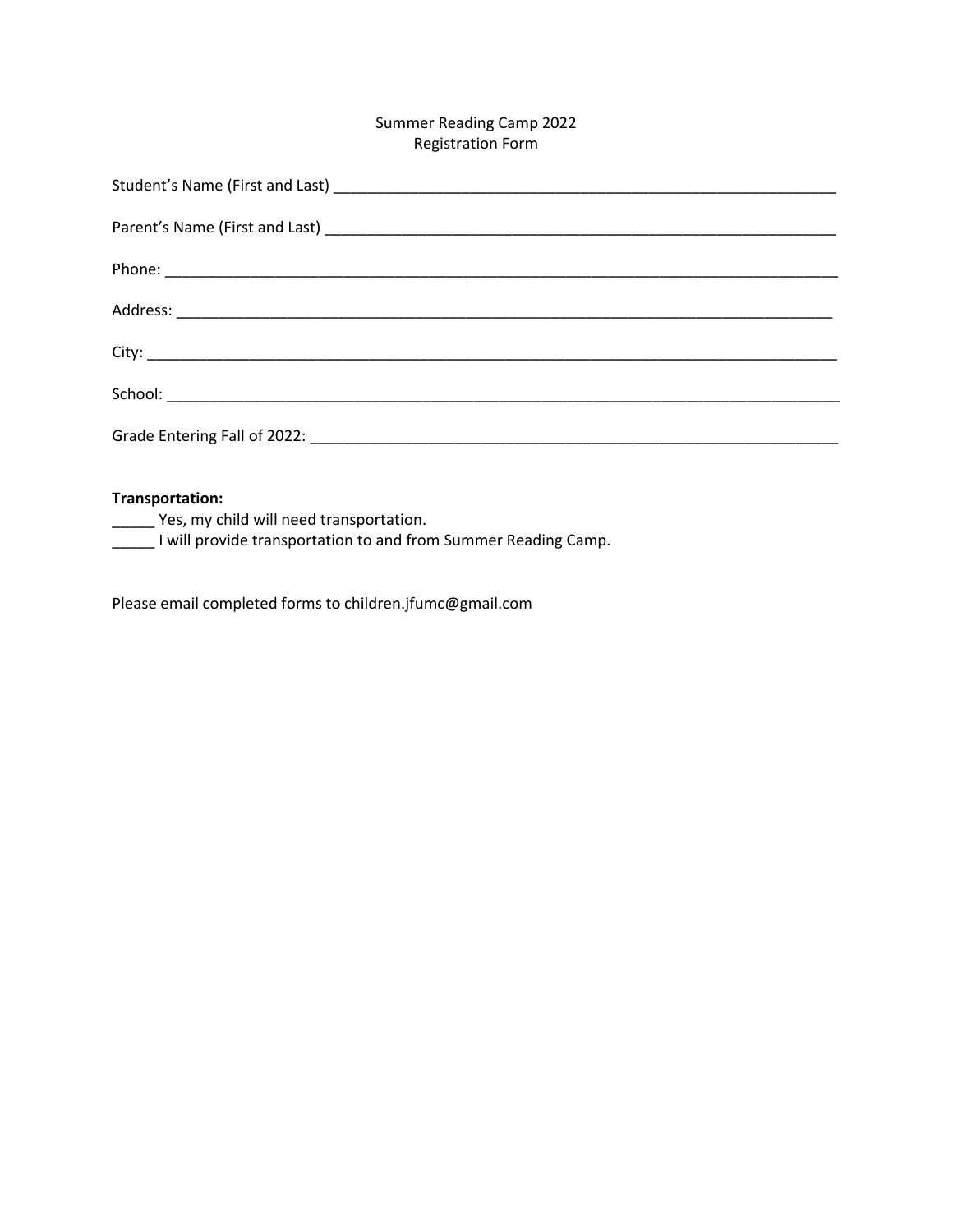# Summer Reading Camp 2022 Registration Form

#### **Transportation:**

\_\_\_\_\_ Yes, my child will need transportation.

**\_\_\_\_\_** I will provide transportation to and from Summer Reading Camp.

Please email completed forms to children.jfumc@gmail.com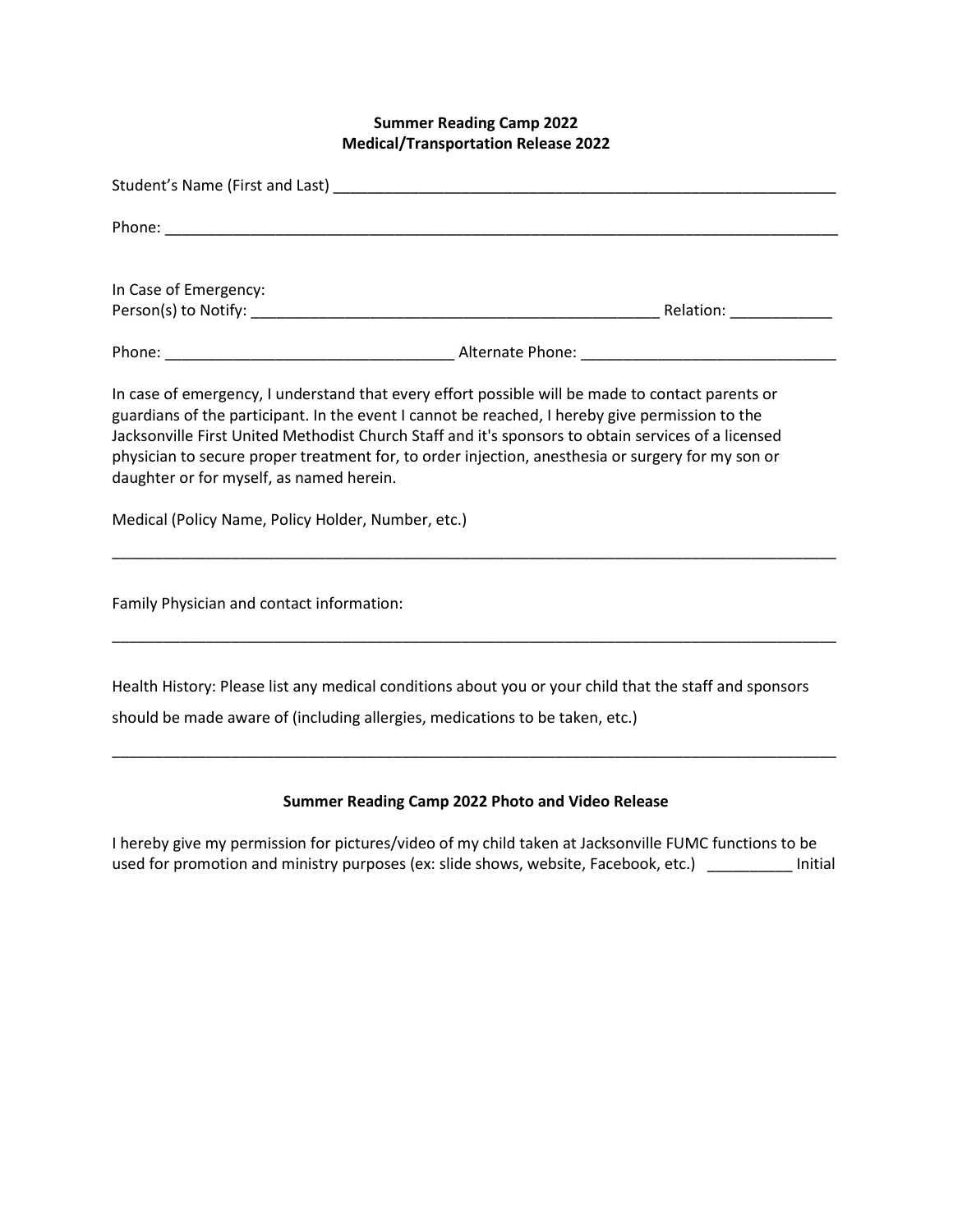# **Summer Reading Camp 2022 Medical/Transportation Release 2022**

| In Case of Emergency:                                                                          |                                                                                                                                                                                                                                                                                                                                                                                                                 |  |
|------------------------------------------------------------------------------------------------|-----------------------------------------------------------------------------------------------------------------------------------------------------------------------------------------------------------------------------------------------------------------------------------------------------------------------------------------------------------------------------------------------------------------|--|
|                                                                                                |                                                                                                                                                                                                                                                                                                                                                                                                                 |  |
| daughter or for myself, as named herein.<br>Medical (Policy Name, Policy Holder, Number, etc.) | In case of emergency, I understand that every effort possible will be made to contact parents or<br>guardians of the participant. In the event I cannot be reached, I hereby give permission to the<br>Jacksonville First United Methodist Church Staff and it's sponsors to obtain services of a licensed<br>physician to secure proper treatment for, to order injection, anesthesia or surgery for my son or |  |
| Family Physician and contact information:                                                      |                                                                                                                                                                                                                                                                                                                                                                                                                 |  |
|                                                                                                |                                                                                                                                                                                                                                                                                                                                                                                                                 |  |
|                                                                                                | Health History: Please list any medical conditions about you or your child that the staff and sponsors                                                                                                                                                                                                                                                                                                          |  |
|                                                                                                | should be made aware of (including allergies, medications to be taken, etc.)                                                                                                                                                                                                                                                                                                                                    |  |
|                                                                                                |                                                                                                                                                                                                                                                                                                                                                                                                                 |  |

# **Summer Reading Camp 2022 Photo and Video Release**

I hereby give my permission for pictures/video of my child taken at Jacksonville FUMC functions to be used for promotion and ministry purposes (ex: slide shows, website, Facebook, etc.) \_\_\_\_\_\_\_\_\_\_ Initial